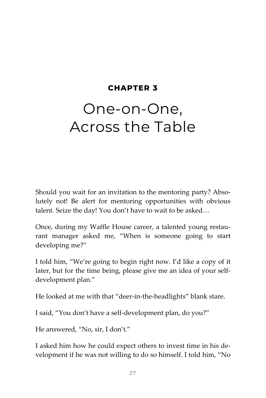#### **CHAPTER 3**

# One-on-One, Across the Table

Should you wait for an invitation to the mentoring party? Absolutely not! Be alert for mentoring opportunities with obvious talent. Seize the day! You don't have to wait to be asked…

Once, during my Waffle House career, a talented young restaurant manager asked me, "When is someone going to start developing me?"

I told him, "We're going to begin right now. I'd like a copy of it later, but for the time being, please give me an idea of your selfdevelopment plan."

He looked at me with that "deer-in-the-headlights" blank stare.

I said, "You don't have a self-development plan, do you?"

He answered, "No, sir, I don't."

I asked him how he could expect others to invest time in his development if he was not willing to do so himself. I told him, "No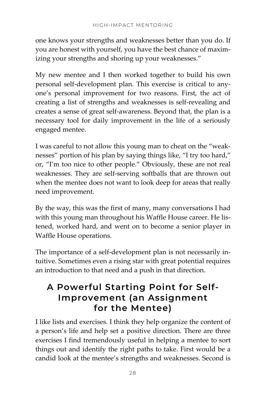one knows your strengths and weaknesses better than you do. If you are honest with yourself, you have the best chance of maximizing your strengths and shoring up your weaknesses."

My new mentee and I then worked together to build his own personal self-development plan. This exercise is critical to anyone's personal improvement for two reasons. First, the act of creating a list of strengths and weaknesses is self-revealing and creates a sense of great self-awareness. Beyond that, the plan is a necessary tool for daily improvement in the life of a seriously engaged mentee.

I was careful to not allow this young man to cheat on the "weaknesses" portion of his plan by saying things like, "I try too hard," or, "I'm too nice to other people." Obviously, these are not real weaknesses. They are self-serving softballs that are thrown out when the mentee does not want to look deep for areas that really need improvement.

By the way, this was the first of many, many conversations I had with this young man throughout his Waffle House career. He listened, worked hard, and went on to become a senior player in Waffle House operations.

The importance of a self-development plan is not necessarily intuitive. Sometimes even a rising star with great potential requires an introduction to that need and a push in that direction.

### **A Powerful Starting Point for Self-Improvement (an Assignment for the Mentee)**

I like lists and exercises. I think they help organize the content of a person's life and help set a positive direction. There are three exercises I find tremendously useful in helping a mentee to sort things out and identify the right paths to take. First would be a candid look at the mentee's strengths and weaknesses. Second is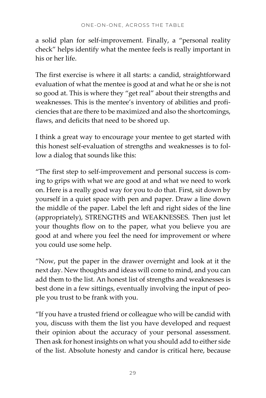a solid plan for self-improvement. Finally, a "personal reality check" helps identify what the mentee feels is really important in his or her life.

The first exercise is where it all starts: a candid, straightforward evaluation of what the mentee is good at and what he or she is not so good at. This is where they "get real" about their strengths and weaknesses. This is the mentee's inventory of abilities and proficiencies that are there to be maximized and also the shortcomings, flaws, and deficits that need to be shored up.

I think a great way to encourage your mentee to get started with this honest self-evaluation of strengths and weaknesses is to follow a dialog that sounds like this:

"The first step to self-improvement and personal success is coming to grips with what we are good at and what we need to work on. Here is a really good way for you to do that. First, sit down by yourself in a quiet space with pen and paper. Draw a line down the middle of the paper. Label the left and right sides of the line (appropriately), STRENGTHS and WEAKNESSES. Then just let your thoughts flow on to the paper, what you believe you are good at and where you feel the need for improvement or where you could use some help.

"Now, put the paper in the drawer overnight and look at it the next day. New thoughts and ideas will come to mind, and you can add them to the list. An honest list of strengths and weaknesses is best done in a few sittings, eventually involving the input of people you trust to be frank with you.

"If you have a trusted friend or colleague who will be candid with you, discuss with them the list you have developed and request their opinion about the accuracy of your personal assessment. Then ask for honest insights on what you should add to either side of the list. Absolute honesty and candor is critical here, because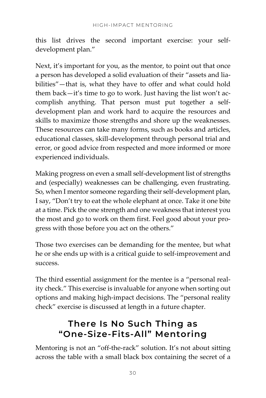this list drives the second important exercise: your selfdevelopment plan."

Next, it's important for you, as the mentor, to point out that once a person has developed a solid evaluation of their "assets and liabilities"—that is, what they have to offer and what could hold them back—it's time to go to work. Just having the list won't accomplish anything. That person must put together a selfdevelopment plan and work hard to acquire the resources and skills to maximize those strengths and shore up the weaknesses. These resources can take many forms, such as books and articles, educational classes, skill-development through personal trial and error, or good advice from respected and more informed or more experienced individuals.

Making progress on even a small self-development list of strengths and (especially) weaknesses can be challenging, even frustrating. So, when I mentor someone regarding their self-development plan, I say, "Don't try to eat the whole elephant at once. Take it one bite at a time. Pick the one strength and one weakness that interest you the most and go to work on them first. Feel good about your progress with those before you act on the others."

Those two exercises can be demanding for the mentee, but what he or she ends up with is a critical guide to self-improvement and success.

The third essential assignment for the mentee is a "personal reality check." This exercise is invaluable for anyone when sorting out options and making high-impact decisions. The "personal reality check" exercise is discussed at length in a future chapter.

### **There Is No Such Thing as "One-Size-Fits-All" Mentoring**

Mentoring is not an "off-the-rack" solution. It's not about sitting across the table with a small black box containing the secret of a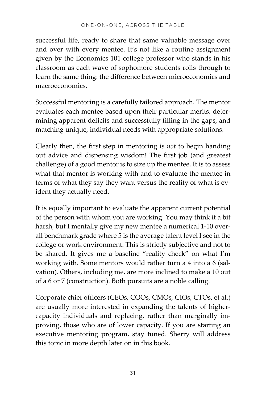successful life, ready to share that same valuable message over and over with every mentee. It's not like a routine assignment given by the Economics 101 college professor who stands in his classroom as each wave of sophomore students rolls through to learn the same thing: the difference between microeconomics and macroeconomics.

Successful mentoring is a carefully tailored approach. The mentor evaluates each mentee based upon their particular merits, determining apparent deficits and successfully filling in the gaps, and matching unique, individual needs with appropriate solutions.

Clearly then, the first step in mentoring is *not* to begin handing out advice and dispensing wisdom! The first job (and greatest challenge) of a good mentor is to size up the mentee. It is to assess what that mentor is working with and to evaluate the mentee in terms of what they say they want versus the reality of what is evident they actually need.

It is equally important to evaluate the apparent current potential of the person with whom you are working. You may think it a bit harsh, but I mentally give my new mentee a numerical 1-10 overall benchmark grade where 5 is the average talent level I see in the college or work environment. This is strictly subjective and not to be shared. It gives me a baseline "reality check" on what I'm working with. Some mentors would rather turn a 4 into a 6 (salvation). Others, including me, are more inclined to make a 10 out of a 6 or 7 (construction). Both pursuits are a noble calling.

Corporate chief officers (CEOs, COOs, CMOs, CIOs, CTOs, et al.) are usually more interested in expanding the talents of highercapacity individuals and replacing, rather than marginally improving, those who are of lower capacity. If you are starting an executive mentoring program, stay tuned. Sherry will address this topic in more depth later on in this book.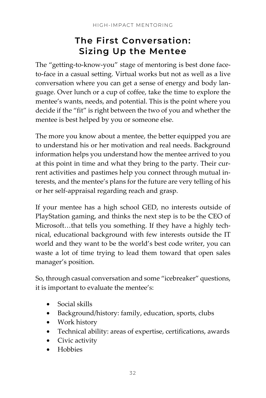### **The First Conversation: Sizing Up the Mentee**

The "getting-to-know-you" stage of mentoring is best done faceto-face in a casual setting. Virtual works but not as well as a live conversation where you can get a sense of energy and body language. Over lunch or a cup of coffee, take the time to explore the mentee's wants, needs, and potential. This is the point where you decide if the "fit" is right between the two of you and whether the mentee is best helped by you or someone else.

The more you know about a mentee, the better equipped you are to understand his or her motivation and real needs. Background information helps you understand how the mentee arrived to you at this point in time and what they bring to the party. Their current activities and pastimes help you connect through mutual interests, and the mentee's plans for the future are very telling of his or her self-appraisal regarding reach and grasp.

If your mentee has a high school GED, no interests outside of PlayStation gaming, and thinks the next step is to be the CEO of Microsoft…that tells you something. If they have a highly technical, educational background with few interests outside the IT world and they want to be the world's best code writer, you can waste a lot of time trying to lead them toward that open sales manager's position.

So, through casual conversation and some "icebreaker" questions, it is important to evaluate the mentee's:

- Social skills
- Background/history: family, education, sports, clubs
- Work history
- Technical ability: areas of expertise, certifications, awards
- Civic activity
- Hobbies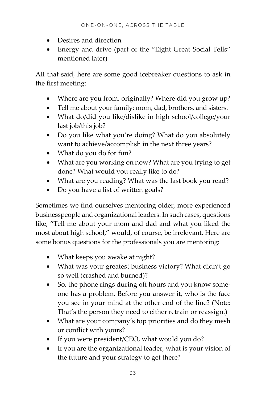- Desires and direction
- Energy and drive (part of the "Eight Great Social Tells" mentioned later)

All that said, here are some good icebreaker questions to ask in the first meeting:

- Where are you from, originally? Where did you grow up?
- Tell me about your family: mom, dad, brothers, and sisters.
- What do/did you like/dislike in high school/college/your last job/this job?
- Do you like what you're doing? What do you absolutely want to achieve/accomplish in the next three years?
- What do you do for fun?
- What are you working on now? What are you trying to get done? What would you really like to do?
- What are you reading? What was the last book you read?
- Do you have a list of written goals?

Sometimes we find ourselves mentoring older, more experienced businesspeople and organizational leaders. In such cases, questions like, "Tell me about your mom and dad and what you liked the most about high school," would, of course, be irrelevant. Here are some bonus questions for the professionals you are mentoring:

- What keeps you awake at night?
- What was your greatest business victory? What didn't go so well (crashed and burned)?
- So, the phone rings during off hours and you know someone has a problem. Before you answer it, who is the face you see in your mind at the other end of the line? (Note: That's the person they need to either retrain or reassign.)
- What are your company's top priorities and do they mesh or conflict with yours?
- If you were president/CEO, what would you do?
- If you are the organizational leader, what is your vision of the future and your strategy to get there?